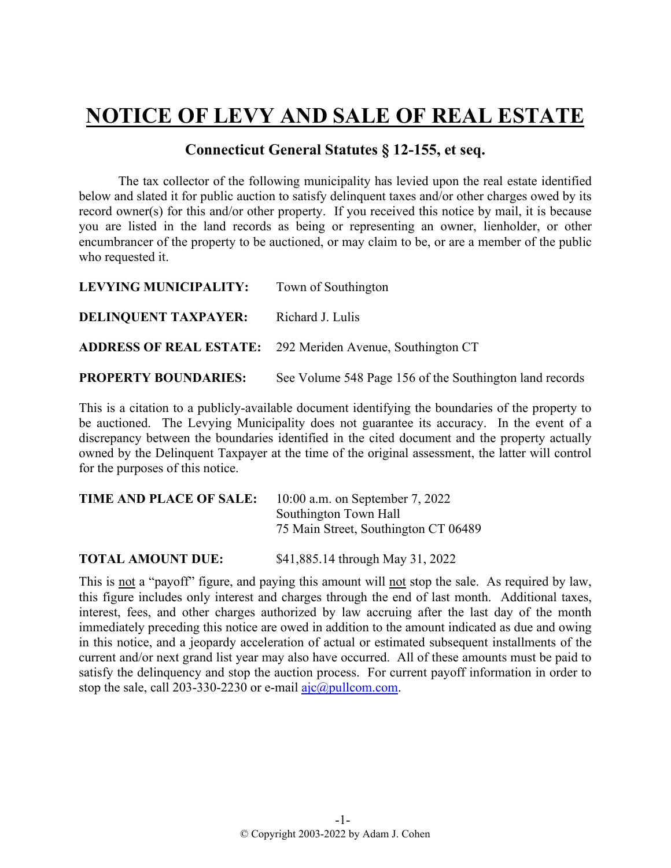## **NOTICE OF LEVY AND SALE OF REAL ESTATE**

## **Connecticut General Statutes § 12-155, et seq.**

The tax collector of the following municipality has levied upon the real estate identified below and slated it for public auction to satisfy delinquent taxes and/or other charges owed by its record owner(s) for this and/or other property. If you received this notice by mail, it is because you are listed in the land records as being or representing an owner, lienholder, or other encumbrancer of the property to be auctioned, or may claim to be, or are a member of the public who requested it.

| LEVYING MUNICIPALITY:       | Town of Southington                                               |
|-----------------------------|-------------------------------------------------------------------|
| <b>DELINQUENT TAXPAYER:</b> | Richard J. Lulis                                                  |
|                             | <b>ADDRESS OF REAL ESTATE:</b> 292 Meriden Avenue, Southington CT |
| <b>PROPERTY BOUNDARIES:</b> | See Volume 548 Page 156 of the Southington land records           |

This is a citation to a publicly-available document identifying the boundaries of the property to be auctioned. The Levying Municipality does not guarantee its accuracy. In the event of a discrepancy between the boundaries identified in the cited document and the property actually owned by the Delinquent Taxpayer at the time of the original assessment, the latter will control for the purposes of this notice.

| TIME AND PLACE OF SALE: | 10:00 a.m. on September 7, 2022      |
|-------------------------|--------------------------------------|
|                         | Southington Town Hall                |
|                         | 75 Main Street, Southington CT 06489 |
|                         |                                      |

**TOTAL AMOUNT DUE:** \$41,885.14 through May 31, 2022

This is not a "payoff" figure, and paying this amount will not stop the sale. As required by law, this figure includes only interest and charges through the end of last month. Additional taxes, interest, fees, and other charges authorized by law accruing after the last day of the month immediately preceding this notice are owed in addition to the amount indicated as due and owing in this notice, and a jeopardy acceleration of actual or estimated subsequent installments of the current and/or next grand list year may also have occurred. All of these amounts must be paid to satisfy the delinquency and stop the auction process. For current payoff information in order to stop the sale, call 203-330-2230 or e-mail  $a$ jc $(a)$ pullcom.com.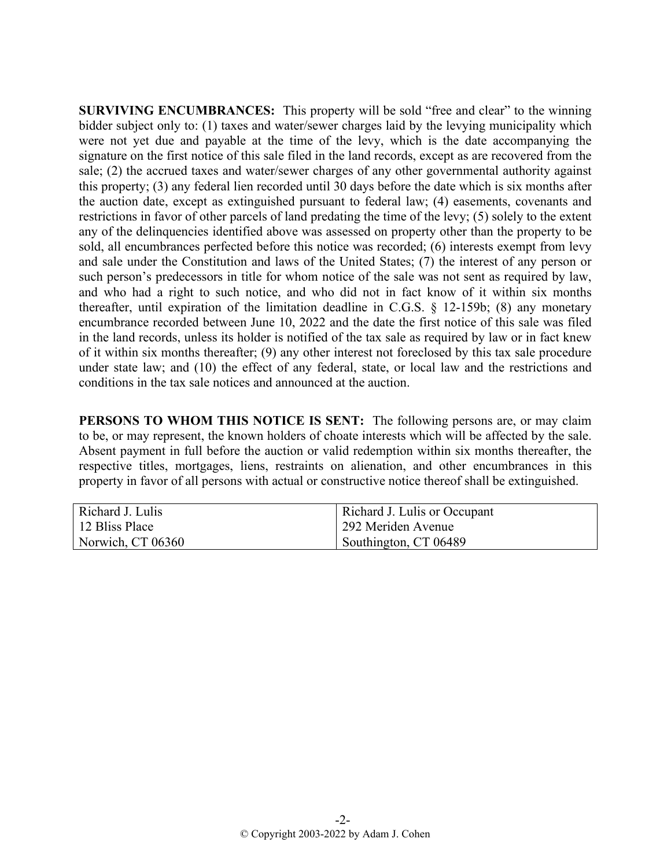**SURVIVING ENCUMBRANCES:** This property will be sold "free and clear" to the winning bidder subject only to: (1) taxes and water/sewer charges laid by the levying municipality which were not yet due and payable at the time of the levy, which is the date accompanying the signature on the first notice of this sale filed in the land records, except as are recovered from the sale; (2) the accrued taxes and water/sewer charges of any other governmental authority against this property; (3) any federal lien recorded until 30 days before the date which is six months after the auction date, except as extinguished pursuant to federal law; (4) easements, covenants and restrictions in favor of other parcels of land predating the time of the levy; (5) solely to the extent any of the delinquencies identified above was assessed on property other than the property to be sold, all encumbrances perfected before this notice was recorded; (6) interests exempt from levy and sale under the Constitution and laws of the United States; (7) the interest of any person or such person's predecessors in title for whom notice of the sale was not sent as required by law, and who had a right to such notice, and who did not in fact know of it within six months thereafter, until expiration of the limitation deadline in C.G.S. § 12-159b; (8) any monetary encumbrance recorded between June 10, 2022 and the date the first notice of this sale was filed in the land records, unless its holder is notified of the tax sale as required by law or in fact knew of it within six months thereafter; (9) any other interest not foreclosed by this tax sale procedure under state law; and (10) the effect of any federal, state, or local law and the restrictions and conditions in the tax sale notices and announced at the auction.

**PERSONS TO WHOM THIS NOTICE IS SENT:** The following persons are, or may claim to be, or may represent, the known holders of choate interests which will be affected by the sale. Absent payment in full before the auction or valid redemption within six months thereafter, the respective titles, mortgages, liens, restraints on alienation, and other encumbrances in this property in favor of all persons with actual or constructive notice thereof shall be extinguished.

| Richard J. Lulis  | Richard J. Lulis or Occupant |
|-------------------|------------------------------|
| 12 Bliss Place    | 292 Meriden Avenue           |
| Norwich, CT 06360 | Southington, CT 06489        |